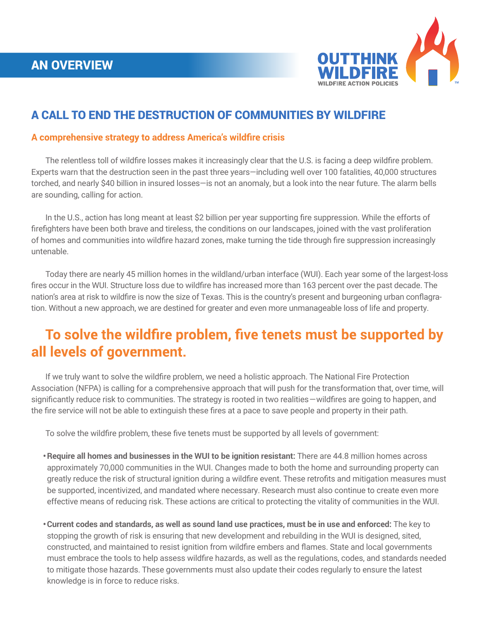

## A CALL TO END THE DESTRUCTION OF COMMUNITIES BY WILDFIRE

#### **A comprehensive strategy to address America's wildfire crisis**

 The relentless toll of wildfire losses makes it increasingly clear that the U.S. is facing a deep wildfire problem. Experts warn that the destruction seen in the past three years—including well over 100 fatalities, 40,000 structures torched, and nearly \$40 billion in insured losses—is not an anomaly, but a look into the near future. The alarm bells are sounding, calling for action.

 In the U.S., action has long meant at least \$2 billion per year supporting fire suppression. While the efforts of firefighters have been both brave and tireless, the conditions on our landscapes, joined with the vast proliferation of homes and communities into wildfire hazard zones, make turning the tide through fire suppression increasingly untenable.

 Today there are nearly 45 million homes in the wildland/urban interface (WUI). Each year some of the largest-loss fires occur in the WUI. Structure loss due to wildfire has increased more than 163 percent over the past decade. The nation's area at risk to wildfire is now the size of Texas. This is the country's present and burgeoning urban conflagration. Without a new approach, we are destined for greater and even more unmanageable loss of life and property.

# **To solve the wildfire problem, five tenets must be supported by all levels of government.**

 If we truly want to solve the wildfire problem, we need a holistic approach. The National Fire Protection Association (NFPA) is calling for a comprehensive approach that will push for the transformation that, over time, will significantly reduce risk to communities. The strategy is rooted in two realities – wildfires are going to happen, and the fire service will not be able to extinguish these fires at a pace to save people and property in their path.

 To solve the wildfire problem, these five tenets must be supported by all levels of government:

- **•Require all homes and businesses in the WUI to be ignition resistant:** There are 44.8 million homes across approximately 70,000 communities in the WUI. Changes made to both the home and surrounding property can greatly reduce the risk of structural ignition during a wildfire event. These retrofits and mitigation measures must be supported, incentivized, and mandated where necessary. Research must also continue to create even more effective means of reducing risk. These actions are critical to protecting the vitality of communities in the WUI.
- **•Current codes and standards, as well as sound land use practices, must be in use and enforced:** The key to stopping the growth of risk is ensuring that new development and rebuilding in the WUI is designed, sited, constructed, and maintained to resist ignition from wildfire embers and flames. State and local governments must embrace the tools to help assess wildfire hazards, as well as the regulations, codes, and standards needed to mitigate those hazards. These governments must also update their codes regularly to ensure the latest knowledge is in force to reduce risks.